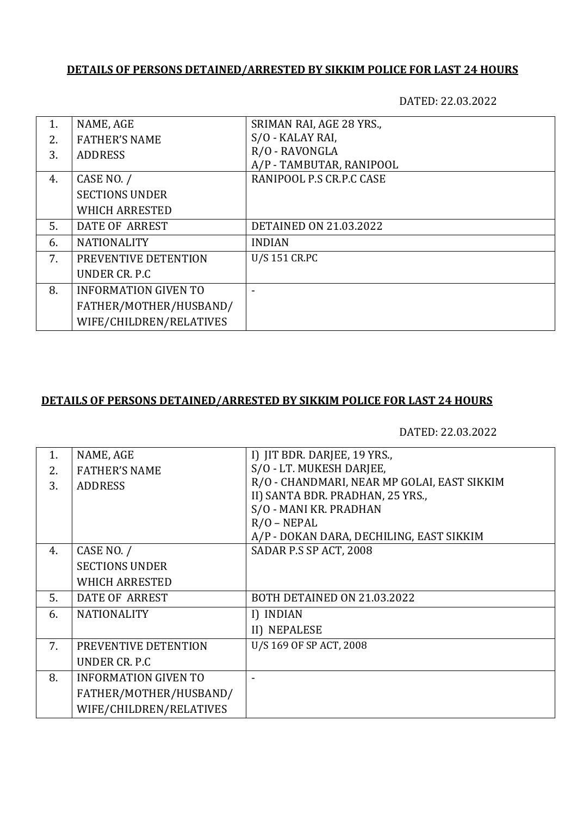## **DETAILS OF PERSONS DETAINED/ARRESTED BY SIKKIM POLICE FOR LAST 24 HOURS**

DATED: 22.03.2022

| 1. | NAME, AGE                   | SRIMAN RAI, AGE 28 YRS.,      |
|----|-----------------------------|-------------------------------|
| 2. | <b>FATHER'S NAME</b>        | S/O - KALAY RAI,              |
| 3. | <b>ADDRESS</b>              | R/O - RAVONGLA                |
|    |                             | A/P - TAMBUTAR, RANIPOOL      |
| 4. | CASE NO. /                  | RANIPOOL P.S CR.P.C CASE      |
|    | <b>SECTIONS UNDER</b>       |                               |
|    | <b>WHICH ARRESTED</b>       |                               |
| 5. | DATE OF ARREST              | <b>DETAINED ON 21.03.2022</b> |
| 6. | <b>NATIONALITY</b>          | <b>INDIAN</b>                 |
| 7. | PREVENTIVE DETENTION        | U/S 151 CR.PC                 |
|    | UNDER CR. P.C.              |                               |
| 8. | <b>INFORMATION GIVEN TO</b> |                               |
|    | FATHER/MOTHER/HUSBAND/      |                               |
|    | WIFE/CHILDREN/RELATIVES     |                               |

## **DETAILS OF PERSONS DETAINED/ARRESTED BY SIKKIM POLICE FOR LAST 24 HOURS**

DATED: 22.03.2022

| NAME, AGE                   |                                             |
|-----------------------------|---------------------------------------------|
|                             | I) JIT BDR. DARJEE, 19 YRS.,                |
| <b>FATHER'S NAME</b>        | S/O - LT. MUKESH DARJEE,                    |
|                             | R/O - CHANDMARI, NEAR MP GOLAI, EAST SIKKIM |
|                             | II) SANTA BDR. PRADHAN, 25 YRS.,            |
|                             | S/O - MANI KR. PRADHAN                      |
|                             | $R/O - NEPAL$                               |
|                             | A/P - DOKAN DARA, DECHILING, EAST SIKKIM    |
| CASE NO. /                  | SADAR P.S SP ACT, 2008                      |
| <b>SECTIONS UNDER</b>       |                                             |
| <b>WHICH ARRESTED</b>       |                                             |
| DATE OF ARREST              | BOTH DETAINED ON 21.03.2022                 |
| <b>NATIONALITY</b>          | I) INDIAN                                   |
|                             | II) NEPALESE                                |
| PREVENTIVE DETENTION        | U/S 169 OF SP ACT, 2008                     |
| UNDER CR. P.C               |                                             |
| <b>INFORMATION GIVEN TO</b> |                                             |
| FATHER/MOTHER/HUSBAND/      |                                             |
| WIFE/CHILDREN/RELATIVES     |                                             |
|                             | <b>ADDRESS</b>                              |